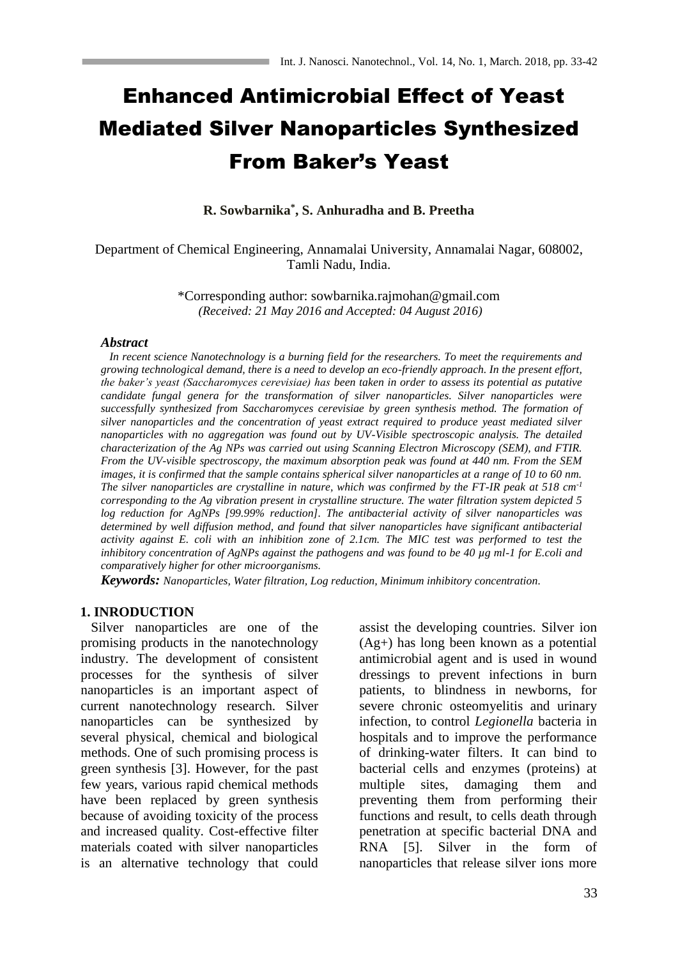# Enhanced Antimicrobial Effect of Yeast Mediated Silver Nanoparticles Synthesized From Baker's Yeast

**R. Sowbarnika\* , S. Anhuradha and B. Preetha**

Department of Chemical Engineering, Annamalai University, Annamalai Nagar, 608002, Tamli Nadu, India.

> \*Corresponding author: sowbarnika.rajmohan@gmail.com *(Received: 21 May 2016 and Accepted: 04 August 2016)*

#### *Abstract*

 *In recent science Nanotechnology is a burning field for the researchers. To meet the requirements and growing technological demand, there is a need to develop an eco-friendly approach. In the present effort, the baker's yeast (Saccharomyces cerevisiae) has been taken in order to assess its potential as putative candidate fungal genera for the transformation of silver nanoparticles. Silver nanoparticles were successfully synthesized from Saccharomyces cerevisiae by green synthesis method. The formation of silver nanoparticles and the concentration of yeast extract required to produce yeast mediated silver nanoparticles with no aggregation was found out by UV-Visible spectroscopic analysis. The detailed characterization of the Ag NPs was carried out using Scanning Electron Microscopy (SEM), and FTIR. From the UV-visible spectroscopy, the maximum absorption peak was found at 440 nm. From the SEM images, it is confirmed that the sample contains spherical silver nanoparticles at a range of 10 to 60 nm. The silver nanoparticles are crystalline in nature, which was confirmed by the FT-IR peak at 518 cm-1 corresponding to the Ag vibration present in crystalline structure. The water filtration system depicted 5 log reduction for AgNPs [99.99% reduction]. The antibacterial activity of silver nanoparticles was determined by well diffusion method, and found that silver nanoparticles have significant antibacterial activity against E. coli with an inhibition zone of 2.1cm. The MIC test was performed to test the inhibitory concentration of AgNPs against the pathogens and was found to be 40 µg ml-1 for E.coli and comparatively higher for other microorganisms.*

*Keywords: Nanoparticles, Water filtration, Log reduction, Minimum inhibitory concentration.*

#### **1. INRODUCTION**

 Silver nanoparticles are one of the promising products in the nanotechnology industry. The development of consistent processes for the synthesis of silver nanoparticles is an important aspect of current nanotechnology research. Silver nanoparticles can be synthesized by several physical, chemical and biological methods. One of such promising process is green synthesis [3]. However, for the past few years, various rapid chemical methods have been replaced by green synthesis because of avoiding toxicity of the process and increased quality. Cost-effective filter materials coated with silver nanoparticles is an alternative technology that could assist the developing countries. Silver ion (Ag+) has long been known as a potential antimicrobial agent and is used in wound dressings to prevent infections in burn patients, to blindness in newborns, for severe chronic osteomyelitis and urinary infection, to control *Legionella* bacteria in hospitals and to improve the performance of drinking-water filters. It can bind to bacterial cells and enzymes (proteins) at multiple sites, damaging them and preventing them from performing their functions and result, to cells death through penetration at specific bacterial DNA and RNA [5]. Silver in the form of nanoparticles that release silver ions more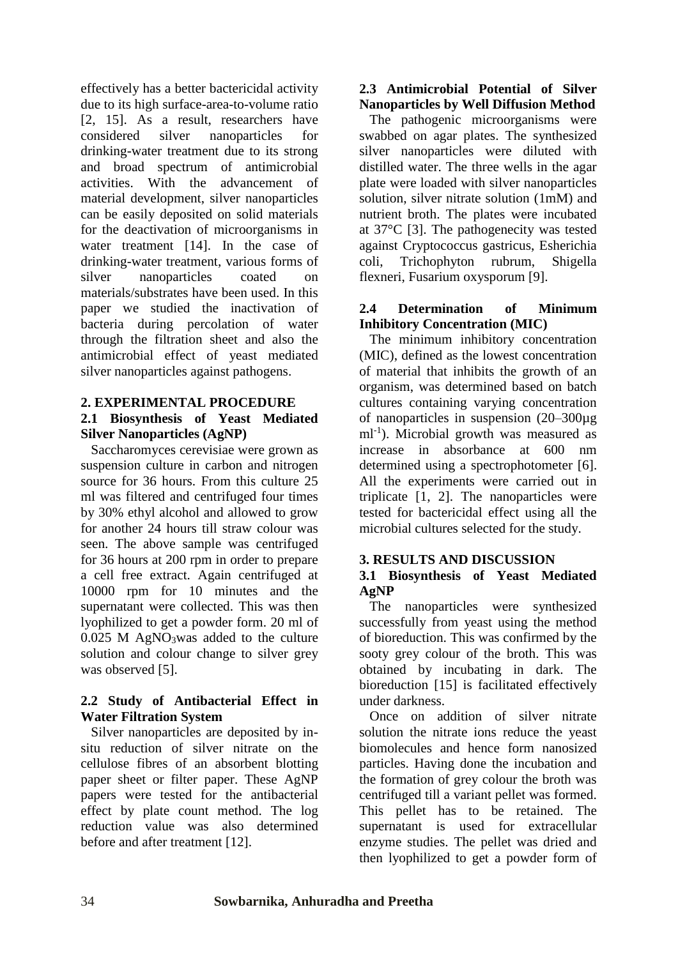effectively has a better bactericidal activity due to its high surface-area-to-volume ratio [2, 15]. As a result, researchers have considered silver nanoparticles for drinking-water treatment due to its strong and broad spectrum of antimicrobial activities. With the advancement of material development, silver nanoparticles can be easily deposited on solid materials for the deactivation of microorganisms in water treatment [14]. In the case of drinking-water treatment, various forms of silver nanoparticles coated on materials/substrates have been used. In this paper we studied the inactivation of bacteria during percolation of water through the filtration sheet and also the antimicrobial effect of yeast mediated silver nanoparticles against pathogens.

### **2. EXPERIMENTAL PROCEDURE**

# **2.1 Biosynthesis of Yeast Mediated Silver Nanoparticles (AgNP)**

 Saccharomyces cerevisiae were grown as suspension culture in carbon and nitrogen source for 36 hours. From this culture 25 ml was filtered and centrifuged four times by 30% ethyl alcohol and allowed to grow for another 24 hours till straw colour was seen. The above sample was centrifuged for 36 hours at 200 rpm in order to prepare a cell free extract. Again centrifuged at 10000 rpm for 10 minutes and the supernatant were collected. This was then lyophilized to get a powder form. 20 ml of 0.025 M AgNO3was added to the culture solution and colour change to silver grey was observed [5].

# **2.2 Study of Antibacterial Effect in Water Filtration System**

 Silver nanoparticles are deposited by insitu reduction of silver nitrate on the cellulose fibres of an absorbent blotting paper sheet or filter paper. These AgNP papers were tested for the antibacterial effect by plate count method. The log reduction value was also determined before and after treatment [12].

# **2.3 Antimicrobial Potential of Silver Nanoparticles by Well Diffusion Method**

 The pathogenic microorganisms were swabbed on agar plates. The synthesized silver nanoparticles were diluted with distilled water. The three wells in the agar plate were loaded with silver nanoparticles solution, silver nitrate solution (1mM) and nutrient broth. The plates were incubated at 37°C [3]. The pathogenecity was tested against Cryptococcus gastricus, Esherichia coli, Trichophyton rubrum, Shigella flexneri, Fusarium oxysporum [9].

## **2.4 Determination of Minimum Inhibitory Concentration (MIC)**

 The minimum inhibitory concentration (MIC), defined as the lowest concentration of material that inhibits the growth of an organism, was determined based on batch cultures containing varying concentration of nanoparticles in suspension (20–300µg ml<sup>-1</sup>). Microbial growth was measured as increase in absorbance at 600 nm determined using a spectrophotometer [6]. All the experiments were carried out in triplicate [1, 2]. The nanoparticles were tested for bactericidal effect using all the microbial cultures selected for the study.

# **3. RESULTS AND DISCUSSION**

### **3.1 Biosynthesis of Yeast Mediated AgNP**

 The nanoparticles were synthesized successfully from yeast using the method of bioreduction. This was confirmed by the sooty grey colour of the broth. This was obtained by incubating in dark. The bioreduction [15] is facilitated effectively under darkness.

 Once on addition of silver nitrate solution the nitrate ions reduce the yeast biomolecules and hence form nanosized particles. Having done the incubation and the formation of grey colour the broth was centrifuged till a variant pellet was formed. This pellet has to be retained. The supernatant is used for extracellular enzyme studies. The pellet was dried and then lyophilized to get a powder form of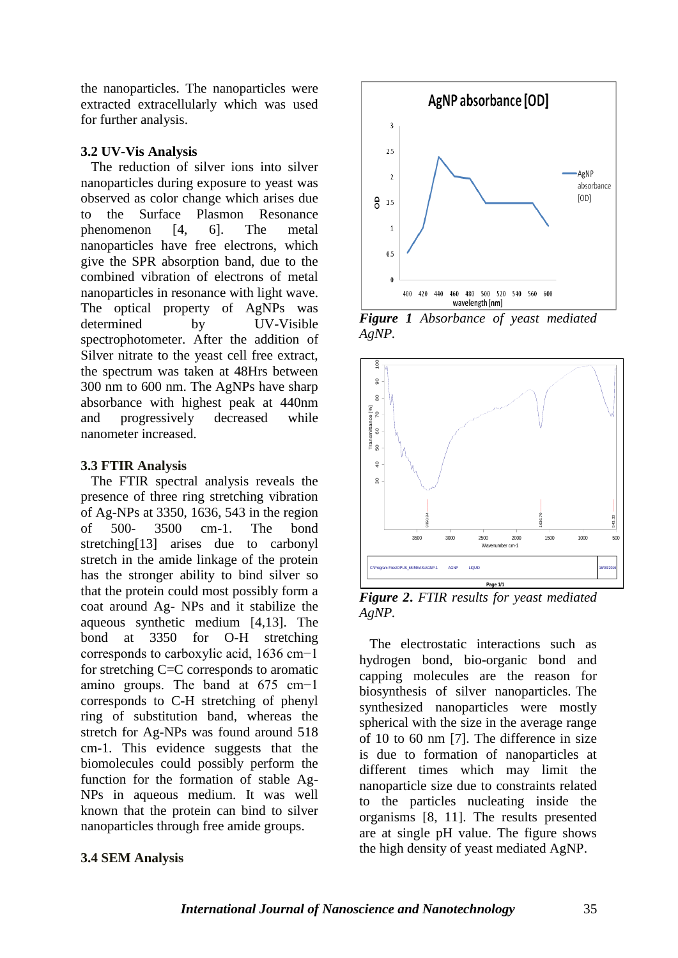the nanoparticles. The nanoparticles were extracted extracellularly which was used for further analysis.

#### **3.2 UV-Vis Analysis**

 The reduction of silver ions into silver nanoparticles during exposure to yeast was observed as color change which arises due to the Surface Plasmon Resonance phenomenon [4, 6]. The metal nanoparticles have free electrons, which give the SPR absorption band, due to the combined vibration of electrons of metal nanoparticles in resonance with light wave. The optical property of AgNPs was determined by UV-Visible spectrophotometer. After the addition of Silver nitrate to the yeast cell free extract, the spectrum was taken at 48Hrs between 300 nm to 600 nm. The AgNPs have sharp absorbance with highest peak at 440nm and progressively decreased while nanometer increased.

# **3.3 FTIR Analysis**

 The FTIR spectral analysis reveals the presence of three ring stretching vibration of Ag-NPs at 3350, 1636, 543 in the region of 500- 3500 cm-1. The bond stretching[13] arises due to carbonyl stretch in the amide linkage of the protein has the stronger ability to bind silver so that the protein could most possibly form a coat around Ag- NPs and it stabilize the aqueous synthetic medium [4,13]. The bond at 3350 for O-H stretching corresponds to carboxylic acid, 1636 cm−1 for stretching C=C corresponds to aromatic amino groups. The band at 675 cm−1 corresponds to C-H stretching of phenyl ring of substitution band, whereas the stretch for Ag-NPs was found around 518 cm-1. This evidence suggests that the biomolecules could possibly perform the function for the formation of stable Ag-NPs in aqueous medium. It was well known that the protein can bind to silver nanoparticles through free amide groups.





*Figure 1 Absorbance of yeast mediated AgNP.*



*Figure 2***.** *FTIR results for yeast mediated AgNP.*

 The electrostatic interactions such as hydrogen bond, bio-organic bond and capping molecules are the reason for biosynthesis of silver nanoparticles. The synthesized nanoparticles were mostly spherical with the size in the average range of 10 to 60 nm [7]. The difference in size is due to formation of nanoparticles at different times which may limit the nanoparticle size due to constraints related to the particles nucleating inside the organisms [8, 11]. The results presented are at single pH value. The figure shows the high density of yeast mediated AgNP.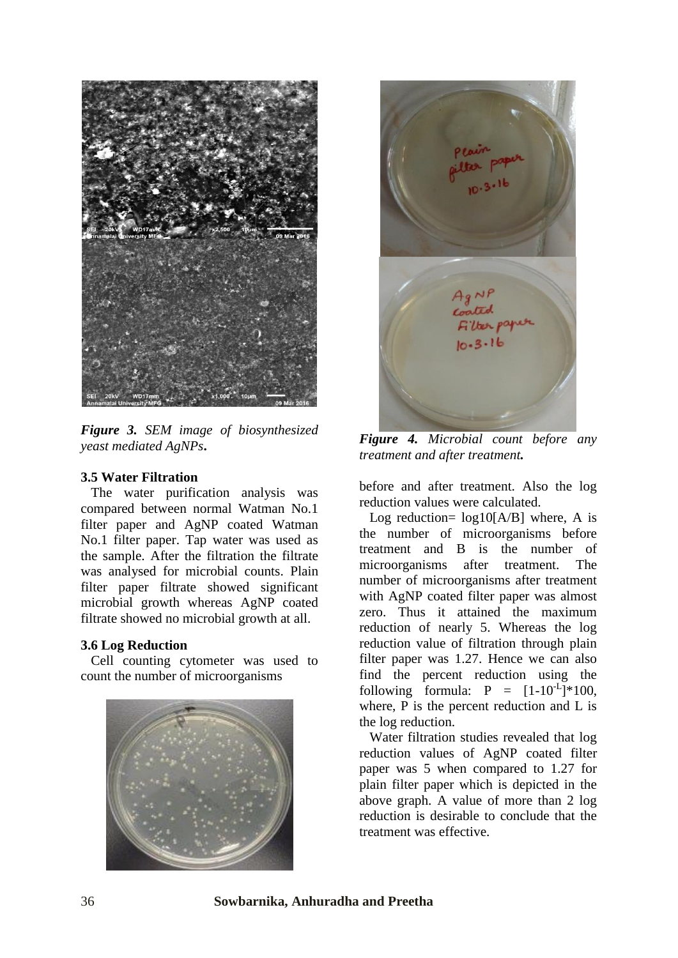

*Figure 3. SEM image of biosynthesized yeast mediated AgNPs***.**

#### **3.5 Water Filtration**

 The water purification analysis was compared between normal Watman No.1 filter paper and AgNP coated Watman No.1 filter paper. Tap water was used as the sample. After the filtration the filtrate was analysed for microbial counts. Plain filter paper filtrate showed significant microbial growth whereas AgNP coated filtrate showed no microbial growth at all.

#### **3.6 Log Reduction**

 Cell counting cytometer was used to count the number of microorganisms





*Figure 4. Microbial count before any treatment and after treatment.*

before and after treatment. Also the log reduction values were calculated.

Log reduction=  $log10[A/B]$  where, A is the number of microorganisms before treatment and B is the number of microorganisms after treatment. The number of microorganisms after treatment with AgNP coated filter paper was almost zero. Thus it attained the maximum reduction of nearly 5. Whereas the log reduction value of filtration through plain filter paper was 1.27. Hence we can also find the percent reduction using the following formula:  $P = [1-10^{-L}]$  \* 100, where, P is the percent reduction and L is the log reduction.

 Water filtration studies revealed that log reduction values of AgNP coated filter paper was 5 when compared to 1.27 for plain filter paper which is depicted in the above graph. A value of more than 2 log reduction is desirable to conclude that the treatment was effective.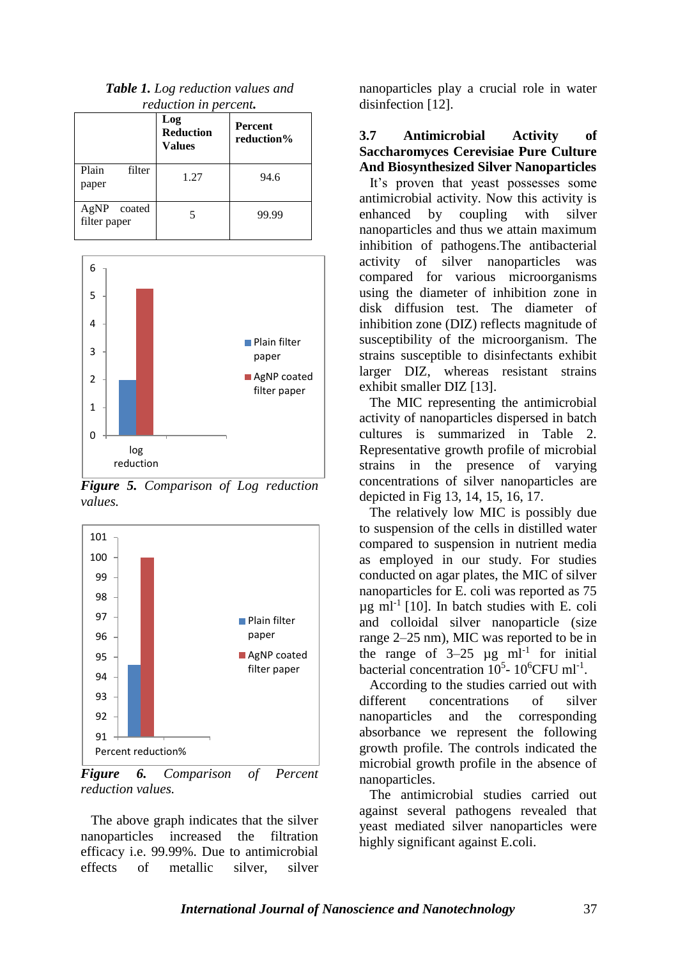|                             | Log<br><b>Reduction</b><br><b>Values</b> | , cancino , i in per cervi<br><b>Percent</b><br>reduction% |  |
|-----------------------------|------------------------------------------|------------------------------------------------------------|--|
| Plain<br>filter<br>paper    | 1.27                                     | 94.6                                                       |  |
| AgNP coated<br>filter paper | 5                                        | 99.99                                                      |  |





*Figure 5. Comparison of Log reduction values.*



*Figure 6. Comparison of Percent reduction values.*

 The above graph indicates that the silver nanoparticles increased the filtration efficacy i.e. 99.99%. Due to antimicrobial<br>effects of metallic silver silver effects of metallic silver, silver

nanoparticles play a crucial role in water disinfection [12].

#### **3.7 Antimicrobial Activity of Saccharomyces Cerevisiae Pure Culture And Biosynthesized Silver Nanoparticles**

 It's proven that yeast possesses some antimicrobial activity. Now this activity is enhanced by coupling with silver nanoparticles and thus we attain maximum inhibition of pathogens.The antibacterial activity of silver nanoparticles was compared for various microorganisms using the diameter of inhibition zone in disk diffusion test. The diameter of inhibition zone (DIZ) reflects magnitude of susceptibility of the microorganism. The strains susceptible to disinfectants exhibit larger DIZ, whereas resistant strains exhibit smaller DIZ [13].

 The MIC representing the antimicrobial activity of nanoparticles dispersed in batch cultures is summarized in Table 2. Representative growth profile of microbial strains in the presence of varying concentrations of silver nanoparticles are depicted in Fig 13, 14, 15, 16, 17.

 The relatively low MIC is possibly due to suspension of the cells in distilled water compared to suspension in nutrient media as employed in our study. For studies conducted on agar plates, the MIC of silver nanoparticles for E. coli was reported as 75  $\mu$ g ml<sup>-1</sup> [10]. In batch studies with E. coli and colloidal silver nanoparticle (size range 2–25 nm), MIC was reported to be in the range of  $3-25 \text{ }\mu\text{g} \text{ } \text{ml}^{-1}$  for initial bacterial concentration  $10^5$ -  $10^6$ CFU ml<sup>-1</sup>.

 According to the studies carried out with different concentrations of silver nanoparticles and the corresponding absorbance we represent the following growth profile. The controls indicated the microbial growth profile in the absence of nanoparticles.

 The antimicrobial studies carried out against several pathogens revealed that yeast mediated silver nanoparticles were highly significant against E.coli.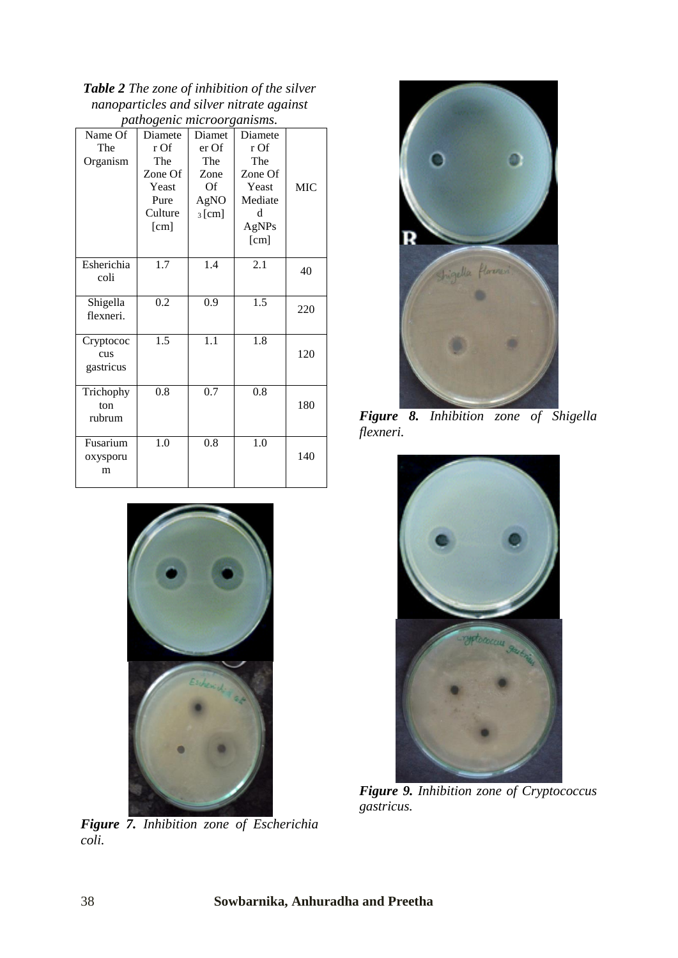*Table 2 The zone of inhibition of the silver nanoparticles and silver nitrate against pathogenic microorganisms.*

| Name Of                       | <i>outilogenic microorganisms.</i><br>Diamete | Diamet           | Diamete |            |
|-------------------------------|-----------------------------------------------|------------------|---------|------------|
| The                           | r Of                                          | er Of            | r Of    |            |
| Organism                      | The                                           | The              | The     |            |
|                               | Zone Of                                       | Zone             | Zone Of |            |
|                               | Yeast                                         | Of               | Yeast   | <b>MIC</b> |
|                               | Pure                                          | AgNO             | Mediate |            |
|                               | Culture                                       | $_3$ [cm]        | d       |            |
|                               | [cm]                                          |                  | AgNPs   |            |
|                               |                                               |                  | [cm]    |            |
| Esherichia<br>coli            | 1.7                                           | 1.4              | 2.1     | 40         |
| Shigella<br>flexneri.         | 0.2                                           | 0.9              | 1.5     | 220        |
| Cryptococ<br>cus<br>gastricus | 1.5                                           | $\overline{1.1}$ | 1.8     | 120        |
| Trichophy<br>ton<br>rubrum    | 0.8                                           | 0.7              | 0.8     | 180        |
| Fusarium<br>oxysporu<br>m     | 1.0                                           | 0.8              | 1.0     | 140        |



*Figure 7. Inhibition zone of Escherichia coli.*



*Figure 8. Inhibition zone of Shigella flexneri.*



*Figure 9. Inhibition zone of Cryptococcus gastricus.*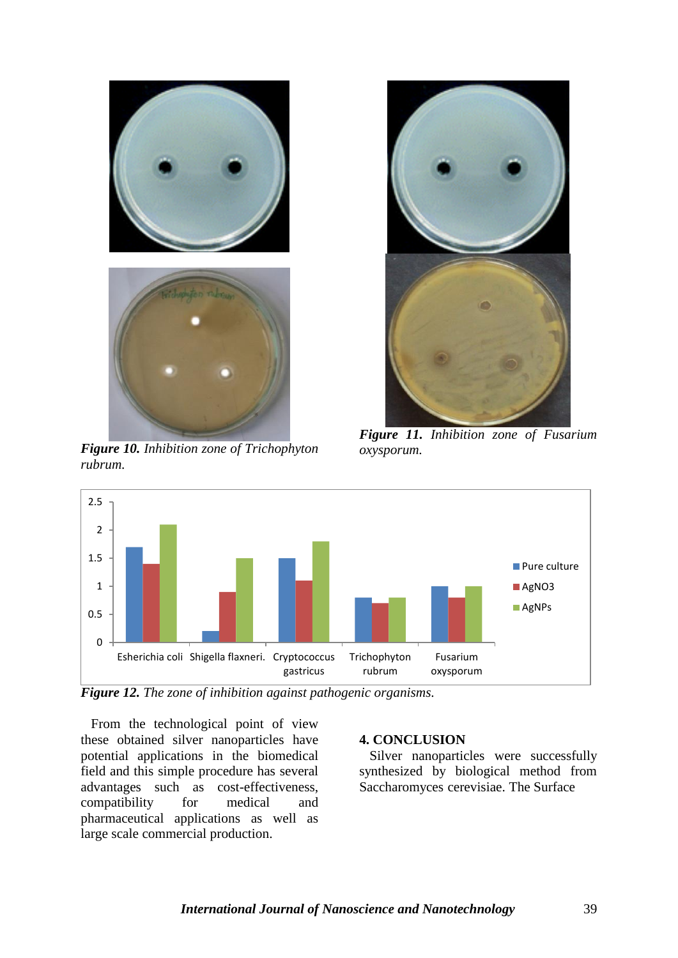

*Figure 10. Inhibition zone of Trichophyton rubrum.*



*Figure 11. Inhibition zone of Fusarium oxysporum.*



*Figure 12. The zone of inhibition against pathogenic organisms.*

 From the technological point of view these obtained silver nanoparticles have potential applications in the biomedical field and this simple procedure has several advantages such as cost-effectiveness,<br>compatibility for medical and compatibility for medical and pharmaceutical applications as well as large scale commercial production.

#### **4. CONCLUSION**

 Silver nanoparticles were successfully synthesized by biological method from Saccharomyces cerevisiae. The Surface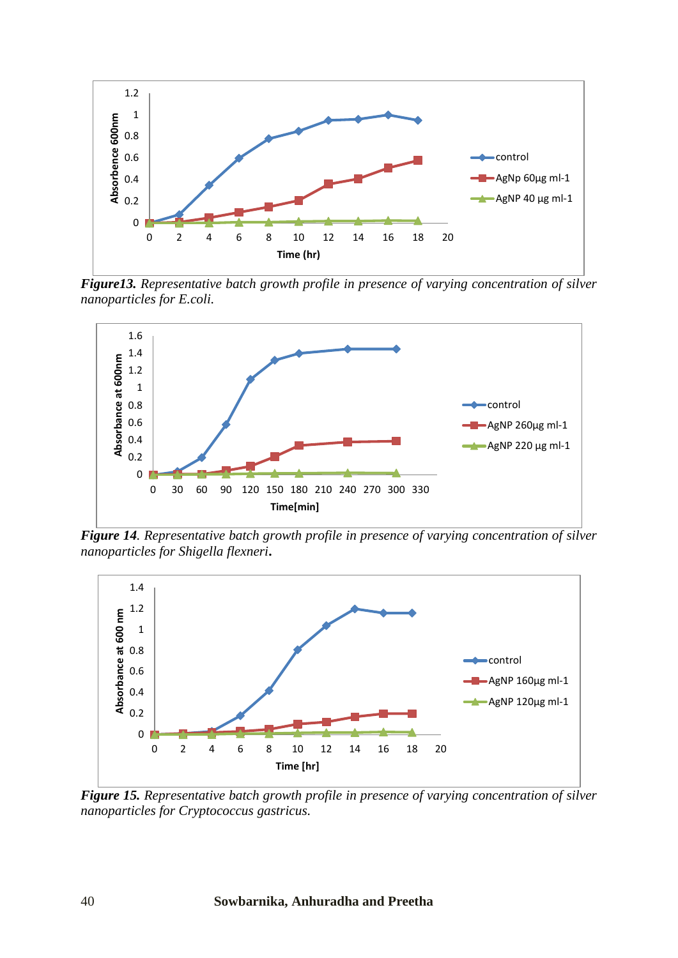

*Figure13. Representative batch growth profile in presence of varying concentration of silver nanoparticles for E.coli.*



*Figure 14. Representative batch growth profile in presence of varying concentration of silver nanoparticles for Shigella flexneri***.**



*Figure 15. Representative batch growth profile in presence of varying concentration of silver nanoparticles for Cryptococcus gastricus.*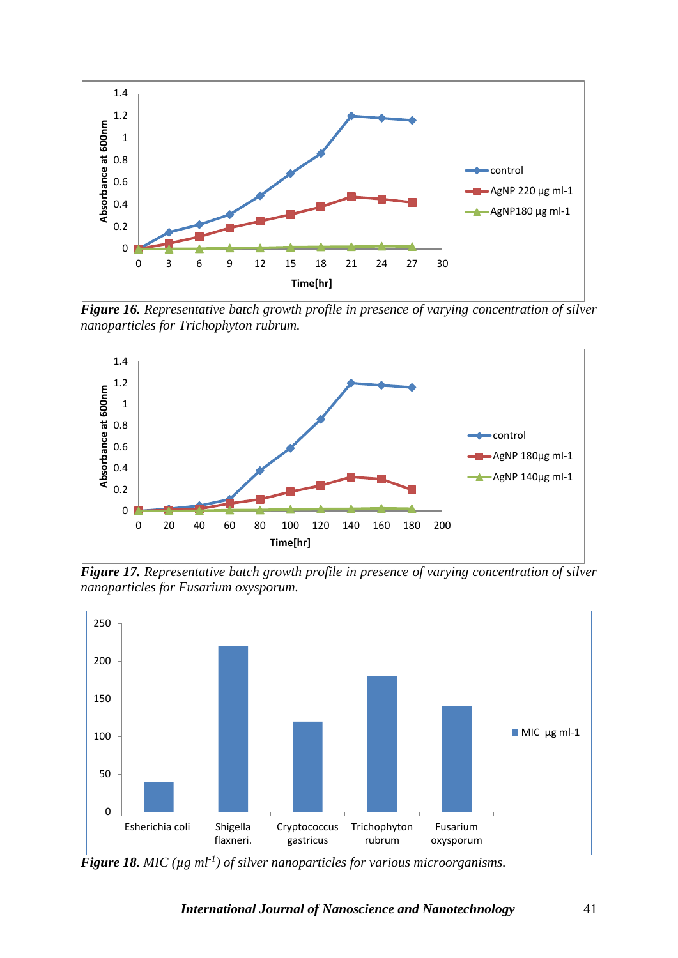

*Figure 16. Representative batch growth profile in presence of varying concentration of silver nanoparticles for Trichophyton rubrum.*



*Figure 17. Representative batch growth profile in presence of varying concentration of silver nanoparticles for Fusarium oxysporum.*



*Figure 18. MIC (µg ml-1 ) of silver nanoparticles for various microorganisms.*